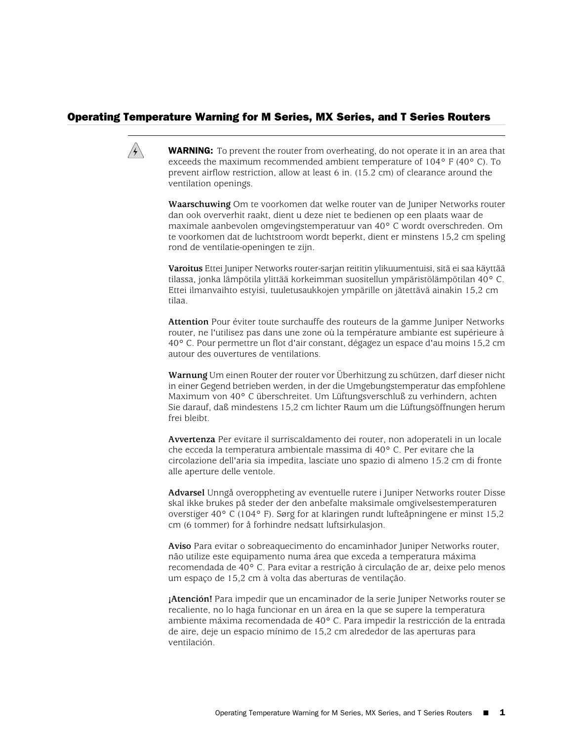## Operating Temperature Warning for M Series, MX Series, and T Series Routers



**WARNING:** To prevent the router from overheating, do not operate it in an area that exceeds the maximum recommended ambient temperature of 104° F (40° C). To prevent airflow restriction, allow at least 6 in. (15.2 cm) of clearance around the ventilation openings.

**Waarschuwing** Om te voorkomen dat welke router van de Juniper Networks router dan ook oververhit raakt, dient u deze niet te bedienen op een plaats waar de maximale aanbevolen omgevingstemperatuur van 40° C wordt overschreden. Om te voorkomen dat de luchtstroom wordt beperkt, dient er minstens 15,2 cm speling rond de ventilatie-openingen te zijn.

**Varoitus** Ettei Juniper Networks router-sarjan reititin ylikuumentuisi, sitä ei saa käyttää tilassa, jonka lämpötila ylittää korkeimman suositellun ympäristölämpötilan 40° C. Ettei ilmanvaihto estyisi, tuuletusaukkojen ympärille on jätettävä ainakin 15,2 cm tilaa.

**Attention** Pour éviter toute surchauffe des routeurs de la gamme Juniper Networks router, ne l'utilisez pas dans une zone où la température ambiante est supérieure à 40° C. Pour permettre un flot d'air constant, dégagez un espace d'au moins 15,2 cm autour des ouvertures de ventilations.

**Warnung** Um einen Router der router vor Überhitzung zu schützen, darf dieser nicht in einer Gegend betrieben werden, in der die Umgebungstemperatur das empfohlene Maximum von 40° C überschreitet. Um Lüftungsverschluß zu verhindern, achten Sie darauf, daß mindestens 15,2 cm lichter Raum um die Lüftungsöffnungen herum frei bleibt.

**Avvertenza** Per evitare il surriscaldamento dei router, non adoperateli in un locale che ecceda la temperatura ambientale massima di 40° C. Per evitare che la circolazione dell'aria sia impedita, lasciate uno spazio di almeno 15.2 cm di fronte alle aperture delle ventole.

**Advarsel** Unngå overoppheting av eventuelle rutere i Juniper Networks router Disse skal ikke brukes på steder der den anbefalte maksimale omgivelsestemperaturen overstiger 40° C (104° F). Sørg for at klaringen rundt lufteåpningene er minst 15,2 cm (6 tommer) for å forhindre nedsatt luftsirkulasjon.

**Aviso** Para evitar o sobreaquecimento do encaminhador Juniper Networks router, não utilize este equipamento numa área que exceda a temperatura máxima recomendada de 40° C. Para evitar a restrição à circulação de ar, deixe pelo menos um espaço de 15,2 cm à volta das aberturas de ventilação.

**¡Atención!** Para impedir que un encaminador de la serie Juniper Networks router se recaliente, no lo haga funcionar en un área en la que se supere la temperatura ambiente máxima recomendada de 40° C. Para impedir la restricción de la entrada de aire, deje un espacio mínimo de 15,2 cm alrededor de las aperturas para ventilación.